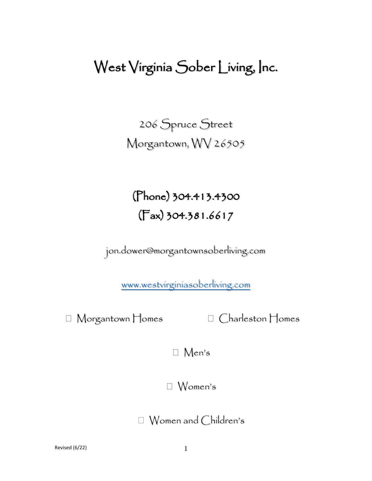## West Virginia Sober Living, Inc.

206 Spruce Street Morgantown, WV 26505

(Phone) 304.413.4300 (Fax) 304.381.6617

jon.dower@morgantownsoberliving.com

[www.westvirginiasoberliving.com](http://www.westvirginiasoberliving.com/)

Morgantown Homes Charleston Homes

Men's

Women's

Women and Children's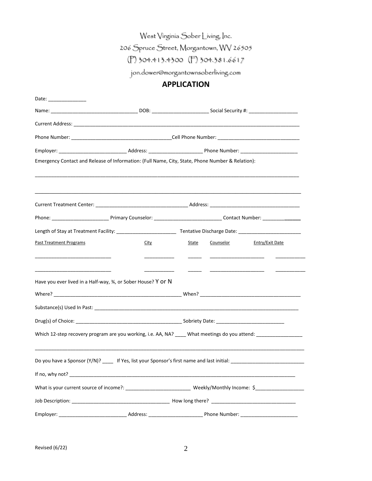West Virginia Sober Living, Inc.

206 Spruce Street, Morgantown, WV 26505

(P) 304.413.4300 (F) 304.381.6617

jon.dower@morgantownsoberliving.com

## **APPLICATION**

| Date: _______________                                                                                          |                                                                                   |       |  |                           |  |
|----------------------------------------------------------------------------------------------------------------|-----------------------------------------------------------------------------------|-------|--|---------------------------|--|
|                                                                                                                |                                                                                   |       |  |                           |  |
|                                                                                                                |                                                                                   |       |  |                           |  |
|                                                                                                                |                                                                                   |       |  |                           |  |
|                                                                                                                |                                                                                   |       |  |                           |  |
| Emergency Contact and Release of Information: (Full Name, City, State, Phone Number & Relation):               |                                                                                   |       |  |                           |  |
|                                                                                                                |                                                                                   |       |  |                           |  |
|                                                                                                                | ,我们也不能在这里的人,我们也不能在这里的人,我们也不能在这里的人,我们也不能在这里的人,我们也不能在这里的人,我们也不能在这里的人,我们也不能在这里的人,我们也 |       |  |                           |  |
|                                                                                                                |                                                                                   |       |  |                           |  |
|                                                                                                                |                                                                                   |       |  |                           |  |
| <b>Past Treatment Programs</b>                                                                                 | <b>City</b>                                                                       | State |  | Counselor Entry/Exit Date |  |
| Have you ever lived in a Half-way, 34, or Sober House? Y or N                                                  |                                                                                   |       |  |                           |  |
|                                                                                                                |                                                                                   |       |  |                           |  |
|                                                                                                                |                                                                                   |       |  |                           |  |
| Which 12-step recovery program are you working, i.e. AA, NA? ____ What meetings do you attend: ______________  |                                                                                   |       |  |                           |  |
| Do you have a Sponsor (Y/N)? ______ If Yes, list your Sponsor's first name and last initial: _________________ |                                                                                   |       |  |                           |  |
|                                                                                                                |                                                                                   |       |  |                           |  |
|                                                                                                                |                                                                                   |       |  |                           |  |
|                                                                                                                |                                                                                   |       |  |                           |  |
|                                                                                                                |                                                                                   |       |  |                           |  |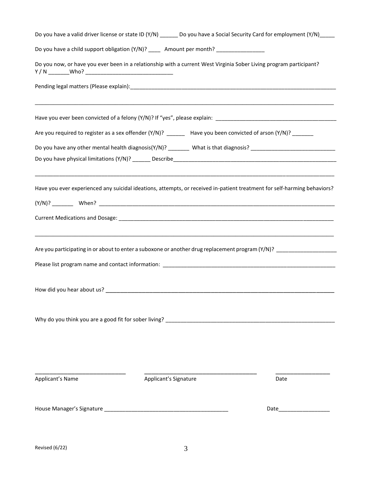| Do you have a valid driver license or state ID (Y/N) ______ Do you have a Social Security Card for employment (Y/N) ____ |                                                                                                                                                                                                                                |  |  |  |  |
|--------------------------------------------------------------------------------------------------------------------------|--------------------------------------------------------------------------------------------------------------------------------------------------------------------------------------------------------------------------------|--|--|--|--|
| Do you have a child support obligation (Y/N)? ______ Amount per month? ________________                                  |                                                                                                                                                                                                                                |  |  |  |  |
| Do you now, or have you ever been in a relationship with a current West Virginia Sober Living program participant?       |                                                                                                                                                                                                                                |  |  |  |  |
|                                                                                                                          |                                                                                                                                                                                                                                |  |  |  |  |
|                                                                                                                          |                                                                                                                                                                                                                                |  |  |  |  |
| Are you required to register as a sex offender (Y/N)? ______ Have you been convicted of arson (Y/N)? ______              |                                                                                                                                                                                                                                |  |  |  |  |
| Do you have any other mental health diagnosis(Y/N)? ________ What is that diagnosis? ___________________________         |                                                                                                                                                                                                                                |  |  |  |  |
| Have you ever experienced any suicidal ideations, attempts, or received in-patient treatment for self-harming behaviors? |                                                                                                                                                                                                                                |  |  |  |  |
|                                                                                                                          |                                                                                                                                                                                                                                |  |  |  |  |
| Are you participating in or about to enter a suboxone or another drug replacement program (Y/N)? ___________________     |                                                                                                                                                                                                                                |  |  |  |  |
|                                                                                                                          |                                                                                                                                                                                                                                |  |  |  |  |
|                                                                                                                          |                                                                                                                                                                                                                                |  |  |  |  |
| Why do you think you are a good fit for sober living?<br>Why do you think you are a good fit for sober living?           |                                                                                                                                                                                                                                |  |  |  |  |
| Applicant's Name<br>Applicant's Signature                                                                                | Date                                                                                                                                                                                                                           |  |  |  |  |
|                                                                                                                          | Date and the contract of the contract of the contract of the contract of the contract of the contract of the contract of the contract of the contract of the contract of the contract of the contract of the contract of the c |  |  |  |  |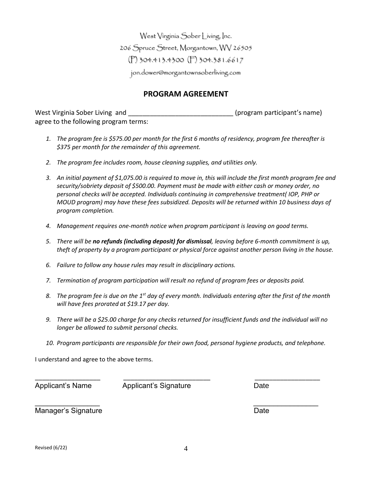West Virginia Sober Living, Inc. 206 Spruce Street, Morgantown, WV 26505 (P) 304.413.4300 (F) 304.381.6617 jon.dower@morgantownsoberliving.com

## **PROGRAM AGREEMENT**

West Virginia Sober Living and **West Virginia Sober Living** and **the Contract of Contract (program participant's name)** agree to the following program terms:

- *1. The program fee is \$575.00 per month for the first 6 months of residency, program fee thereafter is \$375 per month for the remainder of this agreement.*
- *2. The program fee includes room, house cleaning supplies, and utilities only.*
- *3. An initial payment of \$1,075.00 is required to move in, this will include the first month program fee and security/sobriety deposit of \$500.00. Payment must be made with either cash or money order, no personal checks will be accepted. Individuals continuing in comprehensive treatment( IOP, PHP or MOUD program) may have these fees subsidized. Deposits will be returned within 10 business days of program completion.*
- *4. Management requires one-month notice when program participant is leaving on good terms.*
- *5. There will be no refunds (including deposit) for dismissal, leaving before 6-month commitment is up, theft of property by a program participant or physical force against another person living in the house.*
- *6. Failure to follow any house rules may result in disciplinary actions.*
- *7. Termination of program participation will result no refund of program fees or deposits paid.*
- *8. The program fee is due on the 1 st day of every month. Individuals entering after the first of the month will have fees prorated at \$19.17 per day.*
- *9. There will be a \$25.00 charge for any checks returned for insufficient funds and the individual will no longer be allowed to submit personal checks.*
- *10. Program participants are responsible for their own food, personal hygiene products, and telephone.*

\_\_\_\_\_\_\_\_\_\_\_\_\_\_\_\_\_\_ \_\_\_\_\_\_\_\_\_\_\_\_\_\_\_\_\_\_\_\_\_\_\_\_ \_\_\_\_\_\_\_\_\_\_\_\_\_\_\_\_\_\_

 $\overline{\phantom{a}}$  , and the contract of the contract of the contract of the contract of the contract of the contract of the contract of the contract of the contract of the contract of the contract of the contract of the contrac

I understand and agree to the above terms.

Applicant's Name Applicant's Signature Date

Manager's Signature **Date** Date **Date**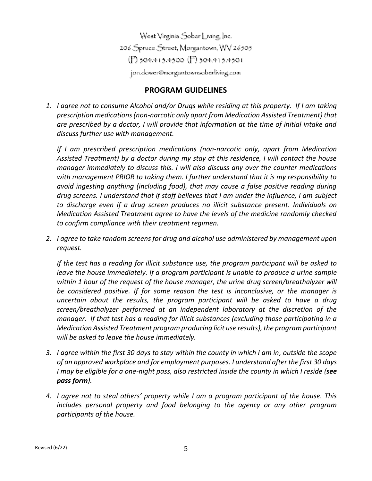West Virginia Sober Living, Inc. 206 Spruce Street, Morgantown, WV 26505 (P) 304.413.4300 (F) 304.413.4301 jon.dower@morgantownsoberliving.com

## **PROGRAM GUIDELINES**

*1. I agree not to consume Alcohol and/or Drugs while residing at this property. If I am taking prescription medications (non-narcotic only apart from Medication Assisted Treatment) that are prescribed by a doctor, I will provide that information at the time of initial intake and discuss further use with management.*

*If I am prescribed prescription medications (non-narcotic only, apart from Medication Assisted Treatment) by a doctor during my stay at this residence, I will contact the house manager immediately to discuss this. I will also discuss any over the counter medications with management PRIOR to taking them. I further understand that it is my responsibility to avoid ingesting anything (including food), that may cause a false positive reading during drug screens. I understand that if staff believes that I am under the influence, I am subject to discharge even if a drug screen produces no illicit substance present. Individuals on Medication Assisted Treatment agree to have the levels of the medicine randomly checked to confirm compliance with their treatment regimen.*

*2. I agree to take random screens for drug and alcohol use administered by management upon request.* 

*If the test has a reading for illicit substance use, the program participant will be asked to leave the house immediately. If a program participant is unable to produce a urine sample within 1 hour of the request of the house manager, the urine drug screen/breathalyzer will be considered positive. If for some reason the test is inconclusive, or the manager is uncertain about the results, the program participant will be asked to have a drug screen/breathalyzer performed at an independent laboratory at the discretion of the manager. If that test has a reading for illicit substances (excluding those participating in a Medication Assisted Treatment program producing licit use results), the program participant will be asked to leave the house immediately.*

- *3. I agree within the first 30 days to stay within the county in which I am in, outside the scope of an approved workplace and for employment purposes. I understand after the first 30 days I may be eligible for a one-night pass, also restricted inside the county in which I reside (see pass form).*
- *4. I agree not to steal others' property while I am a program participant of the house. This includes personal property and food belonging to the agency or any other program participants of the house.*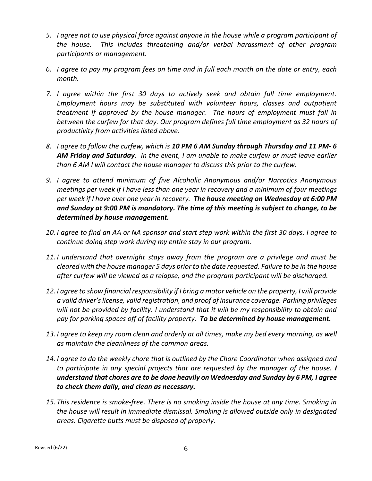- *5. I agree not to use physical force against anyone in the house while a program participant of the house. This includes threatening and/or verbal harassment of other program participants or management.*
- *6. I agree to pay my program fees on time and in full each month on the date or entry, each month.*
- *7. I agree within the first 30 days to actively seek and obtain full time employment. Employment hours may be substituted with volunteer hours, classes and outpatient treatment if approved by the house manager. The hours of employment must fall in between the curfew for that day. Our program defines full time employment as 32 hours of productivity from activities listed above.*
- *8. I agree to follow the curfew, which is 10 PM 6 AM Sunday through Thursday and 11 PM- 6 AM Friday and Saturday. In the event, I am unable to make curfew or must leave earlier than 6 AM I will contact the house manager to discuss this prior to the curfew.*
- *9. I agree to attend minimum of five Alcoholic Anonymous and/or Narcotics Anonymous meetings per week if I have less than one year in recovery and a minimum of four meetings per week if I have over one year in recovery. The house meeting on Wednesday at 6:00 PM and Sunday at 9:00 PM is mandatory. The time of this meeting is subject to change, to be determined by house management.*
- *10. I agree to find an AA or NA sponsor and start step work within the first 30 days. I agree to continue doing step work during my entire stay in our program.*
- *11. I understand that overnight stays away from the program are a privilege and must be cleared with the house manager 5 days prior to the date requested. Failure to be in the house after curfew will be viewed as a relapse, and the program participant will be discharged.*
- *12. I agree to show financial responsibility if I bring a motor vehicle on the property, I will provide a valid driver's license, valid registration, and proof of insurance coverage. Parking privileges will not be provided by facility. I understand that it will be my responsibility to obtain and pay for parking spaces off of facility property. To be determined by house management.*
- *13. I agree to keep my room clean and orderly at all times, make my bed every morning, as well as maintain the cleanliness of the common areas.*
- *14. I agree to do the weekly chore that is outlined by the Chore Coordinator when assigned and to participate in any special projects that are requested by the manager of the house. I understand that chores are to be done heavily on Wednesday and Sunday by 6 PM, I agree to check them daily, and clean as necessary.*
- *15. This residence is smoke-free. There is no smoking inside the house at any time. Smoking in the house will result in immediate dismissal. Smoking is allowed outside only in designated areas. Cigarette butts must be disposed of properly.*